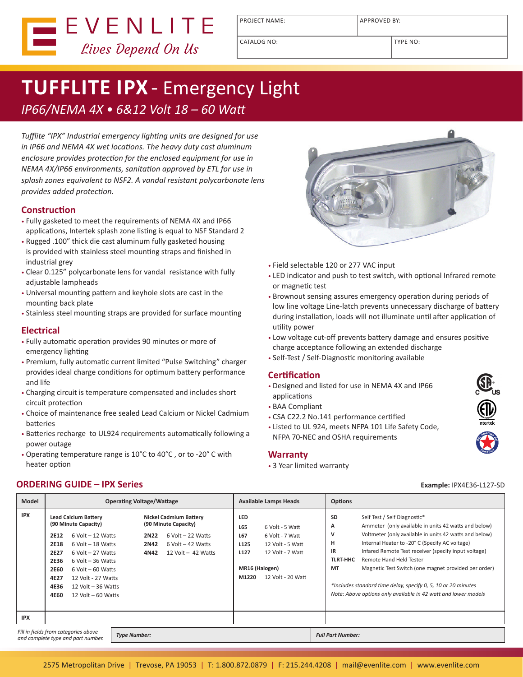

PROJECT NAME: APPROVED BY:

CATALOG NO: TYPE NO:

# **TUFFLITE IPX** - Emergency Light *IP66/NEMA 4X • 6&12 Volt 18 – 60 Watt*

*Tufflite "IPX" Industrial emergency lighting units are designed for use in IP66 and NEMA 4X wet locations. The heavy duty cast aluminum enclosure provides protection for the enclosed equipment for use in NEMA 4X/IP66 environments, sanitation approved by ETL for use in splash zones equivalent to NSF2. A vandal resistant polycarbonate lens provides added protection.*

## **Construction**

- Fully gasketed to meet the requirements of NEMA 4X and IP66 applications, Intertek splash zone listing is equal to NSF Standard 2
- Rugged .100" thick die cast aluminum fully gasketed housing is provided with stainless steel mounting straps and finished in industrial grey
- Clear 0.125" polycarbonate lens for vandal resistance with fully adjustable lampheads
- Universal mounting pattern and keyhole slots are cast in the mounting back plate
- Stainless steel mounting straps are provided for surface mounting

## **Electrical**

- Fully automatic operation provides 90 minutes or more of emergency lighting
- Premium, fully automatic current limited "Pulse Switching" charger provides ideal charge conditions for optimum battery performance and life
- Charging circuit is temperature compensated and includes short circuit protection
- Choice of maintenance free sealed Lead Calcium or Nickel Cadmium batteries
- Batteries recharge to UL924 requirements automatically following a power outage
- Operating temperature range is 10°C to 40°C , or to -20° C with heater option



- Field selectable 120 or 277 VAC input
- LED indicator and push to test switch, with optional Infrared remote or magnetic test
- Brownout sensing assures emergency operation during periods of low line voltage Line-latch prevents unnecessary discharge of battery during installation, loads will not illuminate until after application of utility power
- Low voltage cut-off prevents battery damage and ensures positive charge acceptance following an extended discharge
- Self-Test / Self-Diagnostic monitoring available

#### **Certification**

- Designed and listed for use in NEMA 4X and IP66 applications
- BAA Compliant
- CSA C22.2 No.141 performance certified
- Listed to UL 924, meets NFPA 101 Life Safety Code, NFPA 70-NEC and OSHA requirements

#### **Warranty**

• 3 Year limited warranty

#### **ORDERING GUIDE – IPX Series Example:** IPX4E36-L127-SD

**Model Operating Voltage/Wattage Available Lamps Heads Options IPX Lead Calcium Battery (90 Minute Capacity) 2E12** 6 Volt – 12 Watts **2E18** 6 Volt – 18 Watts **2E27** 6 Volt – 27 Watts **2E36** 6 Volt – 36 Watts **2E60** 6 Volt – 60 Watts **4E27** 12 Volt - 27 Watts **4E36** 12 Volt – 36 Watts **4E60** 12 Volt – 60 Watts **Nickel Cadmium Battery (90 Minute Capacity) 2N22** 6 Volt – 22 Watts **2N42** 6 Volt – 42 Watts **4N42** 12 Volt – 42 Watts **LED L65** 6 Volt - 5 Watt **L67** 6 Volt - 7 Watt **L125** 12 Volt - 5 Watt **L127** 12 Volt - 7 Watt **MR16 (Halogen) M1220** 12 Volt - 20 Watt **SD** Self Test / Self Diagnostic\* **A** Ammeter (only available in units 42 watts and below) **V** Voltmeter (only available in units 42 watts and below) **H** Internal Heater to -20° C (Specify AC voltage) **IR** Infared Remote Test receiver (specify input voltage) **TLRT-HHC** Remote Hand Held Tester **MT** Magnetic Test Switch (one magnet provided per order) *\*Includes standard time delay, specify 0, 5, 10 or 20 minutes Note: Above options only available in 42 watt and lower models* **IPX** *Fill in fields from categories above and complete type and part number. Type Number: Full Part Number:*